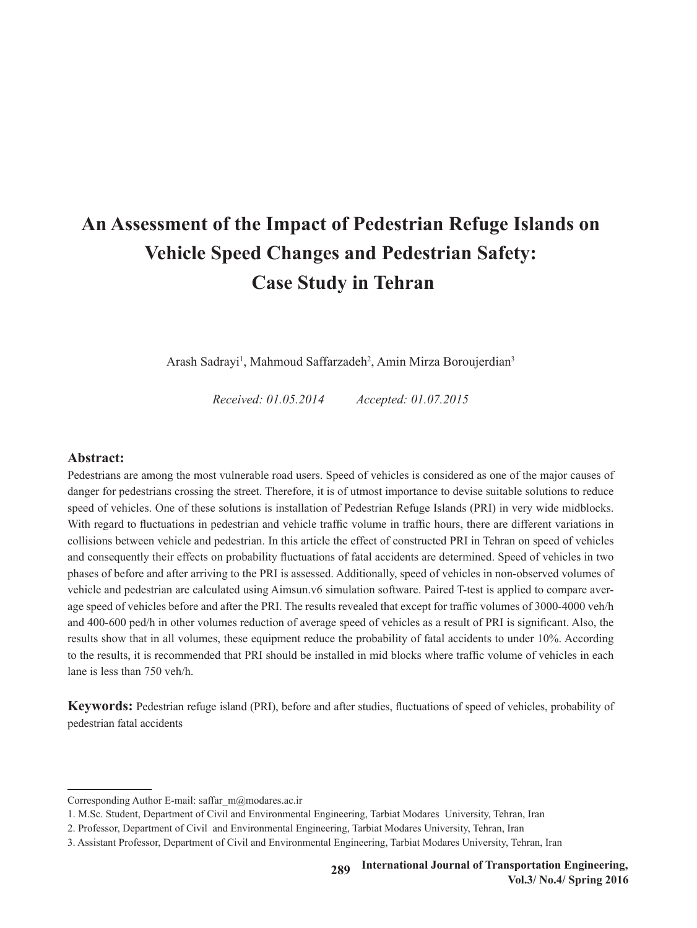# **An Assessment of the Impact of Pedestrian Refuge Islands on Vehicle Speed Changes and Pedestrian Safety: Case Study in Tehran**

Arash Sadrayi<sup>1</sup>, Mahmoud Saffarzadeh<sup>2</sup>, Amin Mirza Boroujerdian<sup>3</sup>

*Received: 01.05.2014 Accepted: 01.07.2015*

# **Abstract:**

Pedestrians are among the most vulnerable road users. Speed of vehicles is considered as one of the major causes of danger for pedestrians crossing the street. Therefore, it is of utmost importance to devise suitable solutions to reduce speed of vehicles. One of these solutions is installation of Pedestrian Refuge Islands (PRI) in very wide midblocks. With regard to fluctuations in pedestrian and vehicle traffic volume in traffic hours, there are different variations in collisions between vehicle and pedestrian. In this article the effect of constructed PRI in Tehran on speed of vehicles and consequently their effects on probability fluctuations of fatal accidents are determined. Speed of vehicles in two phases of before and after arriving to the PRI is assessed. Additionally, speed of vehicles in non-observed volumes of vehicle and pedestrian are calculated using Aimsun.v6 simulation software. Paired T-test is applied to compare average speed of vehicles before and after the PRI. The results revealed that except for traffic volumes of 3000-4000 veh/h and 400-600 ped/h in other volumes reduction of average speed of vehicles as a result of PRI is significant. Also, the results show that in all volumes, these equipment reduce the probability of fatal accidents to under 10%. According to the results, it is recommended that PRI should be installed in mid blocks where traffic volume of vehicles in each lane is less than 750 veh/h.

**Keywords:** Pedestrian refuge island (PRI), before and after studies, fluctuations of speed of vehicles, probability of pedestrian fatal accidents

Corresponding Author E-mail: saffar\_m@modares.ac.ir

<sup>1</sup>. M.Sc. Student, Department of Civil and Environmental Engineering, Tarbiat Modares University, Tehran, Iran

<sup>2</sup>. Professor, Department of Civil and Environmental Engineering, Tarbiat Modares University, Tehran, Iran

<sup>3</sup>. Assistant Professor, Department of Civil and Environmental Engineering, Tarbiat Modares University, Tehran, Iran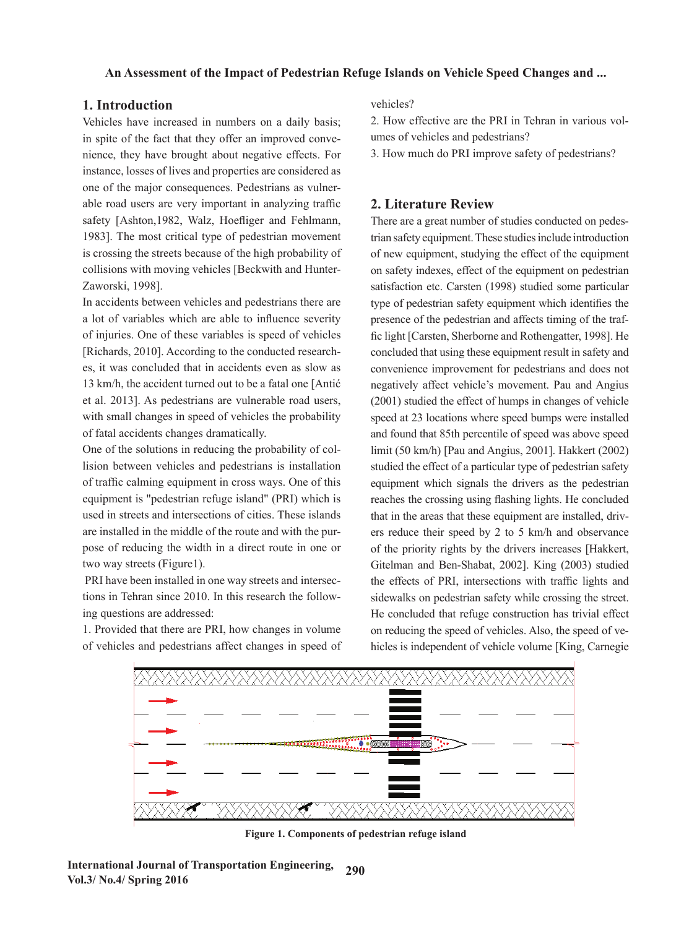# **1. Introduction**

Vehicles have increased in numbers on a daily basis; in spite of the fact that they offer an improved convenience, they have brought about negative effects. For instance, losses of lives and properties are considered as one of the major consequences. Pedestrians as vulnerable road users are very important in analyzing traffic safety [Ashton, 1982, Walz, Hoefliger and Fehlmann, 1983]. The most critical type of pedestrian movement is crossing the streets because of the high probability of collisions with moving vehicles [Beckwith and Hunter-Zaworski, 1998].

In accidents between vehicles and pedestrians there are a lot of variables which are able to influence severity of injuries. One of these variables is speed of vehicles [Richards, 2010]. According to the conducted researches, it was concluded that in accidents even as slow as convenience improvement for pedestrians and does not 13 km/h, the accident turned out to be a fatal one [Antić negatively affect vehicle's movement. Pau and Angius et al. 2013]. As pedestrians are vulnerable road users, with small changes in speed of vehicles the probability with share changes in speed of vehicles are procedure.

One of the solutions in reducing the probability of collision between vehicles and pedestrians is installation of traffic calming equipment in cross ways. One of this equipment is "pedestrian refuge island" (PRI) which is reaches the crossing using flashing lights. He concluded that in acceleration of the acches that in acceleration of the acches the acceleration of the acches the cross used in streets and intersections of cities. These islands that in the areas that these equipment are installed, drivare installed in the middle of the route and with the purpose of reducing the width in a direct route in one or two way streets (Figure1). lision between vehicles and pedestrians is installation studied the effect of a particular type of pedestrian safety

 PRI have been installed in one way streets and intersections in Tehran since 2010. In this research the following questions are addressed:

1. Provided that there are PRI, how changes in volume on reducing the speed of vehicles of vehicles and pedestrians affect changes in speed of

vehicles?

2. How effective are the PRI in Tehran in various volumes of vehicles and pedestrians?

3. How much do PRI improve safety of pedestrians?

# **2. Literature Review**

There are a great number of studies conducted on pedestrian safety equipment. These studies include introduction of new equipment, studying the effect of the equipment on safety indexes, effect of the equipment on pedestrian satisfaction etc. Carsten (1998) studied some particular type of pedestrian safety equipment which identifies the lot of variables which are able to influence severity presence of the pedestrian and affects timing of the trafof injuries. One of these variables is speed of vehicles fic light [Carsten, Sherborne and Rothengatter, 1998]. He concluded that using these equipment result in safety and convenience improvement for pedestrians and does not negatively affect vehicle's movement. Pau and Angius et al. 2013]. As pedestrians are vulnerable road users,  $(2001)$  studied the effect of humps in changes of vehicle speed at 23 locations where speed bumps were installed and found that 85th percentile of speed was above speed One of the solutions in reducing the probability of col-<br>limit (50 km/h) [Pau and Angius, 2001]. Hakkert (2002) equipment which signals the drivers as the pedestrian reaches the crossing using flashing lights. He concluded that in the areas that these equipment are installed, drivers reduce their speed by 2 to 5 km/h and observance of the priority rights by the drivers increases [Hakkert, two way streets (Figure 1). Gitelman and Ben-Shabat, 2002]. King (2003) studied PRI have been installed in one way streets and intersec-<br>the effects of PRI, intersections with traffic lights and tions in Tehran since 2010. In this research the follow-<br>sidewalks on pedestrian safety while crossing the street. He concluded that refuge construction has trivial effect on reducing the speed of vehicles. Also, the speed of vehicles is independent of vehicle volume [King, Carnegie



Figure 1. Components of pedestrian refuge island **Figure 1. Components of pedestrian refuge island**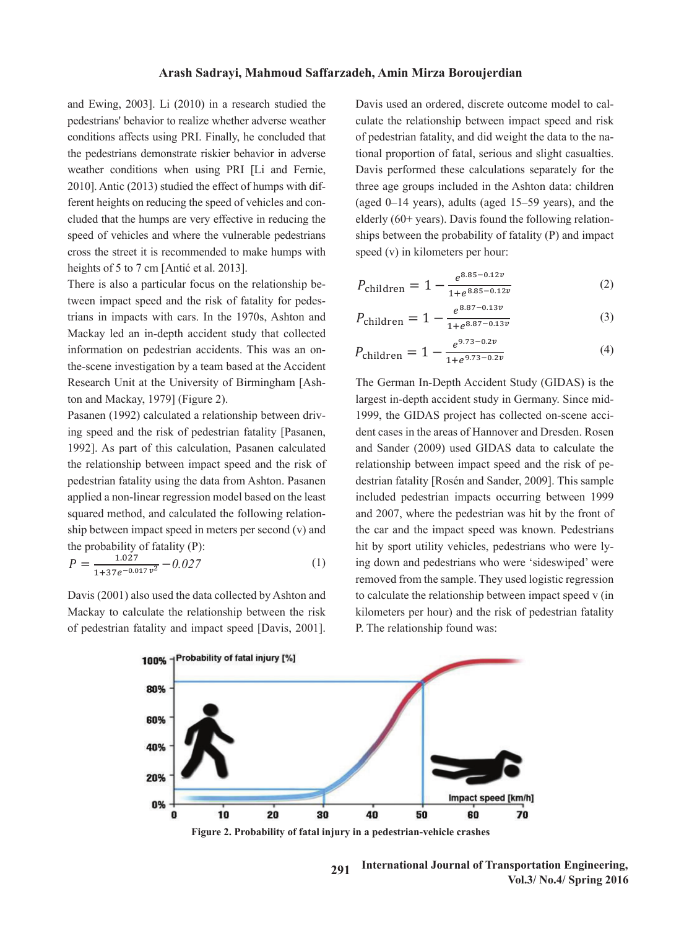and Ewing, 2003]. Li (2010) in a research studied the pedestrians' behavior to realize whether adverse weather conditions affects using PRI. Finally, he concluded that of pedestrian fatality, and did weight the data to the na the pedestrians demonstrate riskier behavior in adverse weather conditions when using PRI [Li and Fernie, Davis performed these calculations separately for the 2010]. Antic (2013) studied the effect of humps with dif-<br>three age groups included in the Ashton data: children ferent heights on reducing the speed of vehicles and con-<br>  $(aged 0-14 years)$ , adults (aged 15-59 years), and the effect of humps in changes of humps in changes of humps in changes of the speed bumps in changes of the speed bump cluded that the humps are very effective in reducing the speed of vehicles and where the vulnerable pedestrians ships between the probability of fatality (P) and impactured and  $\theta$ cross the street it is recommended to make humps with speed  $(v)$  in kilometers per hour: heights of 5 to 7 cm [Antić et al. 2013].

tween impact speed and the risk of fatality for pedes- $\frac{1 + e^{0.05}}{2.87 \cdot 0.125}$ trians in impacts with cars. In the 1970s, Ashton and  $P_{\text{children}} = 1 - \frac{c}{1 + e^{8.87 - 0.13\nu}}$  (3) Mackay led an in-depth accident study that collected information on pedestrian accidents. This was an on-<br> $P_{\text{children}} = 1 - \frac{e^{9.73 - 0.2\nu}}{2.58 \times 10^{-4}}$  (4 the-scene investigation by a team based at the Accident  $1 + e^{2\pi i/3}$ Research Unit at the University of Birmingham [Ash-<br>The German In-Depth Accident Study (GIDAS) is the ton and Mackay, 1979] (Figure 2).

Pasanen (1992) calculated a relationship between driving speed and the risk of pedestrian fatality [Pasanen, dent cases in the areas of Hannover and Dresden. Roser 1992]. As part of this calculation, Pasanen calculated and Sander (2009) used GIDAS data to calculate the the relationship between impact speed and the risk of pedestrian fatality using the data from Ashton. Pasanen destrian fatality [Rosén and Sander, 2009]. This sample applied a non-linear regression model based on the least included pedestrian impacts occurring between 1999 squared method, and calculated the following relationship between impact speed in meters per second (v) and the probability of fatality (P):

$$
P = \frac{1.027}{1 + 37e^{-0.017 \, v^2}} - 0.027\tag{1}
$$

Davis (2001) also used the data collected by Ashton and Mackay to calculate the relationship between the risk kilometers per hour) and the risk of pedestrian

Davis used an ordered, discrete outcome model to calculate the relationship between impact speed and risk of pedestrian fatality, and did weight the data to the national proportion of fatal, serious and slight casualties. Davis performed these calculations separately for the three age groups included in the Ashton data: children (aged 0-14 years), adults (aged 15-59 years), and the elderly  $(60+ years)$ . Davis found the following relationships between the probability of fatality  $(P)$  and impact speed  $(v)$  in kilometers per hour: Davis used an ordered, discrete outcome model to cal- $\frac{1}{1}$  in the speed (v) in the speed (v) in the speed (v) in the speed (v) in the speed (v) in the speed (v) in the speed (v) in the speed (v) in the speed (v) in the speed (v) in the speed (v) in the speed (v) in the or personal ratural, and are weight the rature of the national performance calculations separately ters per nour:<br>
∴

heights of 5 to 7 cm [Antić et al. 2013].  
There is also a particular focus on the relationship be-  
tween impact speed and the risk of fatality for pedes-  

$$
P_{\text{children}} = 1 - \frac{e^{8.85 - 0.12\nu}}{1 + e^{8.85 - 0.12\nu}}
$$
(2)

$$
P_{\text{children}} = 1 - \frac{e^{8.87 - 0.13\nu}}{1 + e^{8.87 - 0.13\nu}}
$$
 (3)

$$
P_{\text{children}} = 1 - \frac{e^{9.73 - 0.2v}}{1 + e^{9.73 - 0.2v}}
$$
 (4)

 $P = \frac{1.027}{1 + 37e^{-0.017 \, v^2}} - 0.027$  (1) ing down and pedestrians who were 'sideswiped' were<br>removed from the sample. They used logistic regression ackay to calculate the relationship between the risk<br>  $\frac{1}{20000}$  and the risk of pedestrian fatality<br> **D** The relationship found weap. of pedestrian fatality and impact speed [Davis, 2001]. P. The relationship found was: The German In-Depth Accident Study (GIDAS) is the<br>propert in durch assistant the big Germann Since with dent cases in the areas of Hannover and Dresden. Rosen and Sander (2009) used GIDAS data to calculate the relationship between impact speed and the risk of peincluded pedestrian impacts occurring between 1999 and 2007, where the pedestrian was hit by the front of the car and the impact speed was known. Pedestrians removed from the sample. They used logistic regression Davis (2001) also used the data collected by Ashton and to calculate the relationship between impact speed v (in The German In-Depth Accident Study (GIDAS) is the Pasanen (1992) calculated a relationship between driv-<br>Pasanen (1992) calculated a relationship between driv-<br>1999, the GIDAS project has collected on-scene accidestrian fatality [Rosén and Sander, 2009]. This sample the probability of fatality (P): hit by sport utility vehicles, pedestrians who were ly-P. The relationship found was: largest in-depth accident study in Germany. Since midmediated pedestrian impacts occurring between 1999<br>and 2007, where the pedestrian was hit by the front of removed from the sample. They used logistic regression



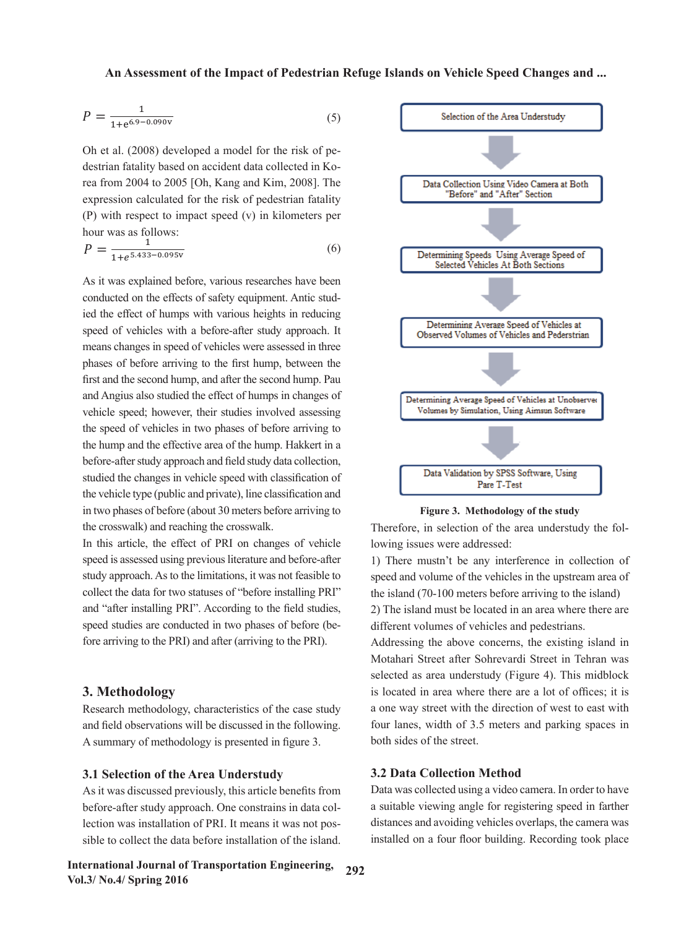$$
P = \frac{1}{1 + e^{6.9 - 0.090v}}
$$
 (5)

destrian fatality based on accident data collected in Korea from 2004 to 2005 [Oh, Kang and Kim, 2008]. The Data Collection Using Video Camera at Both expression calculated for the risk of pedestrian fatality hour was as follows:<br> $P = \frac{1}{\sqrt{1 - \frac{1}{2}} \cdot 1}$ Oh et al. (2008) developed a model for the risk of pe- $\frac{1}{\text{F}}$  (P) with respect to impact speed (v) in kilometers per

$$
P = \frac{1}{1 + e^{5.433 - 0.095v}}
$$
 (6)

As it was explained before, various researches have been conducted on the effects of safety equipment. exhausted on the critical of dately equipment hand state. speed of vehicles with a before-after study approach. It<br>Determining Average Speed of Vehicles and Pederstrian means changes in speed of vehicles were assessed in three first and the second hump, and after the second hump. Pau and Angius also studied the effect of humps in changes of **Determining Average Speed of Vehicles at Unobserves** conducted on the effects of safety equipment. Antic studphases of before arriving to the first hump, between the  $\frac{1}{\sqrt{2}}$ vehicle speed; however, their studies involved assessing the speed of vehicles in two phases of before arriving to the hump and the effective area of the hump. Hakkert in a before-after study approach and field study data collection, studied the changes in vehicle speed with classification of the vehicle type (public and private), line classification and in two phases of before (about 30 meters before arriving to the crosswalk) and reaching the crosswalk.

In this article, the effect of PRI on changes of vehicle speed is assessed using previous literature and before-after 1) There mustn't study approach. As to the limitations, it was not feasible to collect the data for two statuses of "before installing PRI" and "after installing PRI". According to the field studies, speed studies are conducted in two phases of before (before arriving to the PRI) and after (arriving to the PRI).

### **3. Methodology**

Research methodology, characteristics of the case study and field observations will be discussed in the following. A summary of methodology is presented in figure 3.

### **3.1 Selection of the Area Understudy**

As it was discussed previously, this article benefits from before-after study approach. One constrains in data collection was installation of PRI. It means it was not possible to collect the data before installation of the island.





Figure 3. Methodology of the study **Figure 3. Methodology of the study**

Therefore, in selection of the area understudy the following issues were addressed:

1) There mustn't be any interference in collection of speed and volume of the vehicles in the upstream area of "before installing PRI" the island (70-100 meters before arriving to the island)

rding to the field studies,  $\qquad$  2) The island must be located in an area where there are different volumes of vehicles and pedestrians.

 $\frac{1}{1 + \epsilon}$  (arriving to the PRI). Addressing the above concerns, the existing island in Motahari Street after Sohrevardi Street in Tehran was selected as area understudy (Figure 4). This midblock is located in area where there are a lot of offices; it is a one way street with the direction of west to east with four lanes, width of 3.5 meters and parking spaces in both sides of the street.

### **3.2 Data Collection Method**

Data was collected using a video camera. In order to have a suitable viewing angle for registering speed in farther distances and avoiding vehicles overlaps, the camera was installed on a four floor building. Recording took place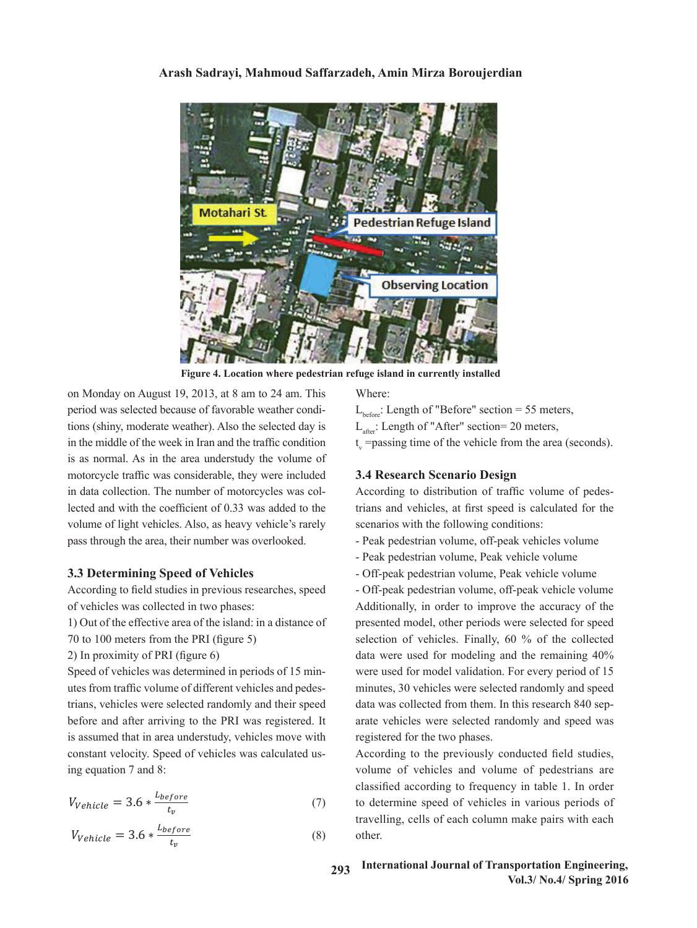# otahari St **Pedestrian Refuge Island Observing Location**

# Arash Sadrayi, Mahmoud Saffarzadeh, Amin Mirza Boroujerdian

Figure 4. Location where pedestrian refuge island in currently installed

on Monday on August 19, 2013, at 8 am to 24 am. This Where: period was selected because of favorable weather conditions (shiny, moderate weather). Also the selected day is in the middle of the week in Iran and the traffic condition is as normal. As in the area understudy the volume of motorcycle traffic was considerable, they were included in data collection. The number of motorcycles was collected and with the coefficient of 0.33 was added to the volume of light vehicles. Also, as heavy vehicle's rarely pass through the area, their number was overlooked. n data collection. The number of motorcycles was col-<br>According to distribution of traffic volume of pedeslected and with the coefficient of 0.33 was added to the trians and vehicles, at first speed is calculated for the pass through the area, their number was overlooked. - Peak pedestrian volume, off-peak vehicles volume

# **3.3 Determining Speed of Vehicles**

According to field studies in previous researches, speed of vehicles was collected in two phases:

1) Out of the effective area of the island: in a distance of

 $70$  to  $100$  meters from the PRI (figure 5)

2) In proximity of PRI (figure 6)

Speed of vehicles was determined in periods of 15 minutes from traffic volume of different vehicles and pedes-<br>perminutes, 30 vehicles were selected randomly and speed before and after a speed before and after a speed before and after all was the PRI was to the PRI was the P trians, vehicles were selected randomly and their speed data was collected from them. In this research 840 sepbefore and after arriving to the PRI was registered. It arate vehicles were selected randomly and speed was is assumed that in area understudy, vehicles move with constant velocity. Speed of vehicles was calculated us-<br>According to the previously conducted field ing equation  $7$  and  $8$ : pede of ventures was accenting in periods of to this were asset for moder variation. For every period of to

$$
V_{Vehicle} = 3.6 * \frac{L_{before}}{t_v}
$$
 (7)

$$
V_{Vehicle} = 3.6 * \frac{L_{before}}{t_v}
$$
 (8)

Where:

- $L_{\text{before}}$ : Length of "Before" section = 55 meters,
- $L_{\text{after}}$ : Length of "After" section= 20 meters,
- t v =passing time of the vehicle from the area (seconds).

# **3.4 Research Scenario Design**

scenarios with the following conditions:

- 
- Peak pedestrian volume, Peak vehicle volume
- **3.3 Determining Speed of Vehicles condition is as a condition in Area understand volume**, Peak vehicle volume of  $\blacksquare$

2) In proximity of PRI (figure 6) data were used for modeling and the remaining 40% Speed of vehicles was determined in periods of 15 min-<br>were used for model validation. For every period of 15 re 5) selection of vehicles. Finally, 60 % of the collected - Off-peak pedestrian volume, off-peak vehicle volume of vehicles was collected in two phases:<br>
Additionally, in order to improve the accuracy of the 1) Out of the effective area of the island: in a distance of presented model, other periods were selected for speed minutes, 30 vehicles were selected randomly and speed data was collected from them. In this research 840 separate vehicles were selected randomly and speed was registered for the two phases.

> (7) to determine speed of vehicles in various periods of classified according to frequency in table 1. In order  $\alpha$   *• <b><i>c*  $\alpha$  *c*  $\beta$  *c*  $\alpha$  *c*  $\beta$  *c*  $\beta$  *c*  $\alpha$  *c*  $\beta$  *c*  $\alpha$  *c*  $\beta$  *c*  $\alpha$  *c*  $\beta$  *c*  $\alpha$  *c*  $\beta$  *c*  $\alpha$  *c*  $\beta$  *c*  $\alpha$  *c*  $\beta$  *c*  $\alpha$  *c*  $\beta$  *c*  $\alpha$  *c*  $\beta$  *c*  $\alpha$  *c*  $\$ According to the previously conducted field studies, volume of vehicles and volume of pedestrians are travelling, cells of each column make pairs with each other.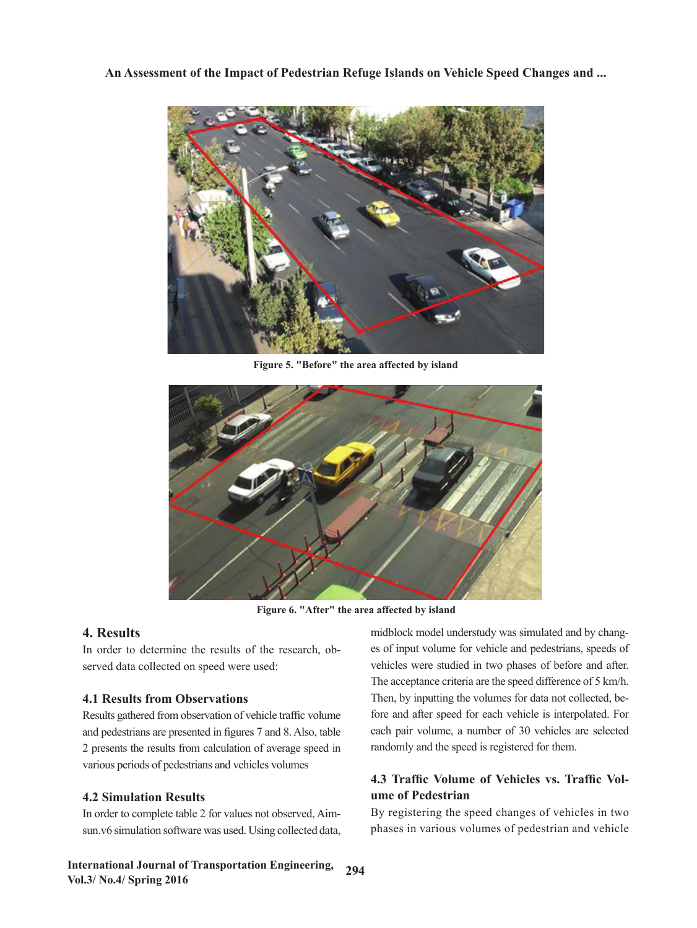

Figure 5. "Before" the area affected by island Figure 5. "Before" the area affected by island **Figure 5. "Before" the area affected by island**



Figure 6. "After" the area affected by island **Figure 6. "After" the area affected by island**

# **4. Results**

In order to determine the results of the research, observed data collected on speed were used:

# **4.1 Results from Observations**

Results gathered from observation of vehicle traffic volume arious perious or peuestrian various periods of pedestrians and vehicles volumes and pedestrians are presented in figures 7 and 8. Also, table 2 presents the results from calculation of average speed in

# **4.2 Simulation Results**

order to complete table 2.1<br>in y6 simulation software  $\mu$ ar In order to complete table 2 for values not observed, Aim- $\ddot{\phantom{0}}$ sun.v6 simulation software was used. Using collected data,

Figure 6. "After" the area affected by island order to determine the results of the research, ob-<br>es of input volume for vehicle and pedestrians, speeds of perved data collected on speed were used:<br>
vehicles were studied in two phases of before and after. **1.1 Results from Observations** The acceptance enterm are the speed difference of 5 km/h.<br>Then, by inputting the volumes for data not collected, be-**Speed of 15 minutes in periods of 15 minutes in periods of 15 minutes from the 15 minutes and by chang**perced data collected on speed were used:<br>
vehicles were studied in two phases of before and after. The acceptance criteria are the speed difference of 5 km/h. fore and after speed for each vehicle is interpolated. For each pair volume, a number of 30 vehicles are selected randomly and the speed is registered for them.

# (7) **4.3 Traffic Volume of Vehicles vs. Traffic Volume of Pedestrian**

as used. Using collected data, has been various volumes of pedestrian and vehicle or values not observed, Aim-<br>By registering the speed changes of vehicles in two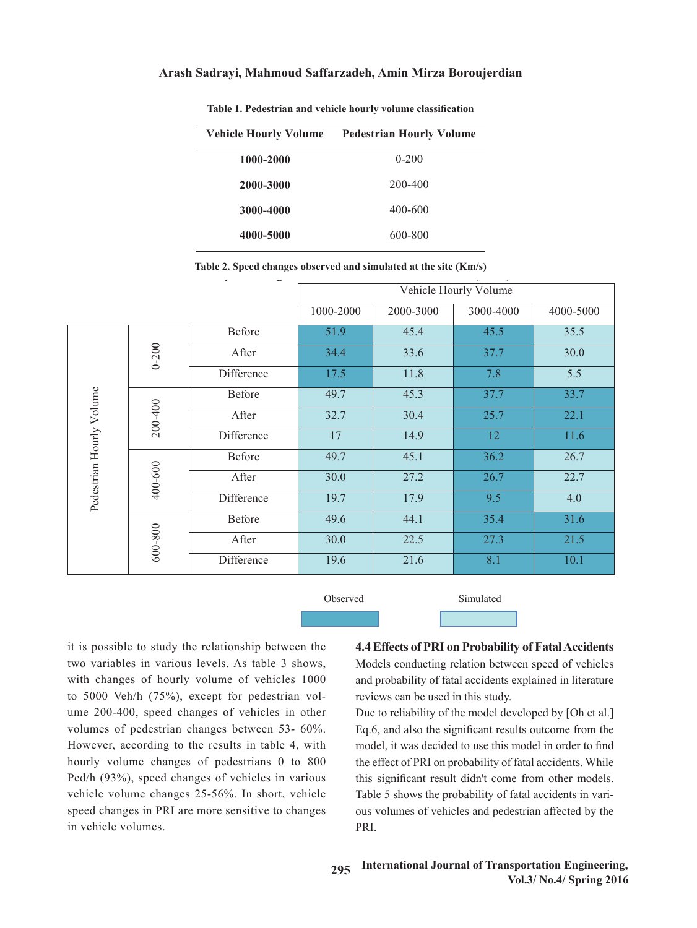# In order to complete table 2 for values not observed, Aimsun.v6 simulation software was **Arash Sadrayi, Mahmoud Saffarzadeh, Amin Mirza Boroujerdian**

| <b>Vehicle Hourly Volume</b> | <b>Pedestrian Hourly Volume</b> |
|------------------------------|---------------------------------|
| 1000-2000                    | $0 - 200$                       |
| 2000-3000                    | 200-400                         |
| 3000-4000                    | 400-600                         |
| 4000-5000                    | 600-800                         |

Table 1. Pedestrian and vehicle hourly volume classification **Table 1. Pedestrian and vehicle hourly volume classification**

| Table 2. Speed changes observed and simulated at the site (Km/s) |  |  |  |
|------------------------------------------------------------------|--|--|--|
|                                                                  |  |  |  |

|                          |             |            |              |           | Vehicle Hourly Volume |           |
|--------------------------|-------------|------------|--------------|-----------|-----------------------|-----------|
|                          |             |            | 1000-2000    | 2000-3000 | 3000-4000             | 4000-5000 |
|                          |             | Before     | 51.9         | 45.4      | 45.5                  | 35.5      |
|                          | $0 - 200$   | After      | 34.4         | 33.6      | 37.7                  | 30.0      |
|                          |             | Difference | 17.5         | 11.8      | 7.8                   | 5.5       |
|                          |             | Before     | 49.7         | 45.3      | 37.7                  | 33.7      |
|                          | 200-400     | After      | 32.7         | 30.4      |                       | 22.1      |
| Pedestrian Hourly Volume |             | Difference | 17           | 14.9      | 12                    | 11.6      |
|                          |             | Before     | 49.7         | 45.1      | 36.2                  | 26.7      |
|                          | 400-600     | After      | 30.0         | 27.2      | 26.7                  | 22.7      |
|                          |             | Difference | 19.7         | 17.9      | 9.5                   | 4.0       |
|                          |             | Before     | 49.6<br>44.1 |           | 35.4                  | 31.6      |
|                          | $600 - 800$ | After      | 30.0         | 22.5      | 27.3                  | 21.5      |
|                          |             | Difference | 19.6         | 21.6      | 8.1                   | 10.1      |

**Observed** Simulated

two variables in various levels. As table 3 shows, Models conducting relation between speed of vehicles with changes of hourly volume of vehicles 1000 and probability of fatal accidents explained in literature ume 200-400, speed changes of vehicles in other Due to reliability of the model developed by [Oh et al.] volumes of pedestrian changes between 53-  $60\%$ . Eq.6, and also the significant results outcome from the However, according to the results in table 4, with  $\frac{1}{2}$ **4.3 Volume of Vehicle** volume changes 25-56%. In short, vehicle Table 5 shows the proposed vehicle it is possible to study the relationship between the two variables in various levels. As table 3 shows, with changes of hourly volume of vehicles 1000 to 5000 Veh/h (75%), except for pedestrian volvolumes of pedestrian changes between 53- 60%. hourly volume changes of pedestrians 0 to 800 Ped/h (93%), speed changes of vehicles in various speed changes in PRI are more sensitive to changes in vehicle volumes.

**4.4 Effects of PRI on Probability of Fatal Accidents** reviews can be used in this study.

By registering the speed changes of vehicles in two processions in two pedestrian and verses of personal vehicles in the pedestrian and verses of personal vehicles in the pedestrian and verses of personal vehicles in the s Due to reliability of the model developed by [Oh et al.] model, it was decided to use this model in order to find the effect of PRI on probability of fatal accidents. While this significant result didn't come from other models. Table 5 shows the probability of fatal accidents in various volumes of vehicles and pedestrian affected by the PRI.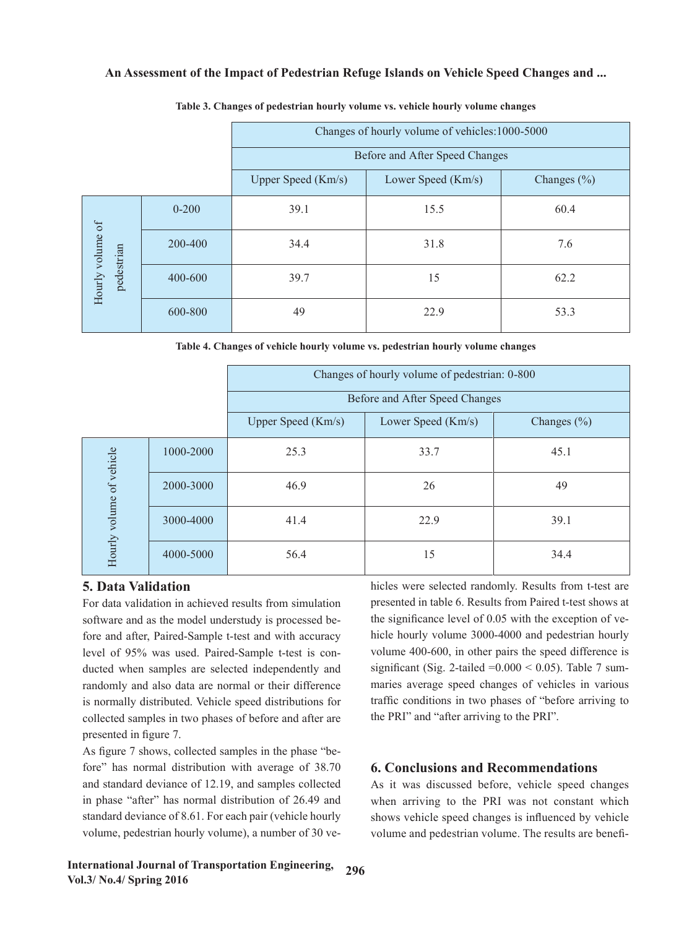|                  |           | Changes of hourly volume of vehicles: 1000-5000 |                                |                 |  |  |  |  |  |  |
|------------------|-----------|-------------------------------------------------|--------------------------------|-----------------|--|--|--|--|--|--|
|                  |           |                                                 | Before and After Speed Changes |                 |  |  |  |  |  |  |
|                  |           | Upper Speed (Km/s)                              | Lower Speed (Km/s)             | Changes $(\% )$ |  |  |  |  |  |  |
|                  | $0 - 200$ | 39.1                                            | 15.5                           | 60.4            |  |  |  |  |  |  |
| Hourly volume of | 200-400   | 34.4                                            | 31.8                           | 7.6             |  |  |  |  |  |  |
| pedestrian       | 400-600   | 39.7                                            | 15                             | 62.2            |  |  |  |  |  |  |
|                  | 600-800   | 49                                              | 22.9                           | 53.3            |  |  |  |  |  |  |

### **Table 3. Changes of pedestrian hourly volume vs. vehicle hourly volume changes**

Table 4. Changes of vehicle hourly volume vs. pedestrian hourly volume changes **Table 4. Changes of vehicle hourly volume vs. pedestrian hourly volume changes**

|                           |           | Changes of hourly volume of pedestrian: 0-800                                                                    |                                                                                                                                                                                 |                 |  |  |  |  |  |  |
|---------------------------|-----------|------------------------------------------------------------------------------------------------------------------|---------------------------------------------------------------------------------------------------------------------------------------------------------------------------------|-----------------|--|--|--|--|--|--|
|                           |           |                                                                                                                  | Before and After Speed Changes                                                                                                                                                  |                 |  |  |  |  |  |  |
|                           |           | Upper Speed $(Km/s)$                                                                                             | Lower Speed (Km/s)                                                                                                                                                              | Changes $(\% )$ |  |  |  |  |  |  |
|                           | 1000-2000 | 25.3                                                                                                             | 33.7                                                                                                                                                                            | 45.1            |  |  |  |  |  |  |
|                           | 2000-3000 | 46.9                                                                                                             | 26                                                                                                                                                                              | 49              |  |  |  |  |  |  |
| Hourly volume of vehicle  | 3000-4000 | 41.4                                                                                                             | 22.9                                                                                                                                                                            | 39.1            |  |  |  |  |  |  |
|                           | 4000-5000 | 56.4                                                                                                             | 15                                                                                                                                                                              | 34.4            |  |  |  |  |  |  |
| <b>5. Data Validation</b> |           | For data validation in achieved results from simulation<br>software and as the model understudy is processed be- | hicles were selected randomly. Results from t-test are<br>presented in table 6. Results from Paired t-test shows at<br>the significance level of 0.05 with the exception of ve- |                 |  |  |  |  |  |  |

# **5. Data Validation**

For data validation in achieved results from simulation software and as the model understudy is processed before and after, Paired-Sample t-test and with accuracy randomly and also data are normal or their difference maries average speed change is normally distributed. Vehicle speed distributions for collected samples in two phases of before and after are the PRI" and "after arriving to the PRI". presented in figure 7.

As figure 7 shows, collected samples in the phase "before" has normal distribution with average of  $38.70$  6. Conclusions and Recommendations and standard deviance of 12.19, and samples collected in phase "after" has normal distribution of 26.49 and standard deviance of 8.61. For each pair (vehicle hourly shows vehicle speed changes is influenced by vehicle and standard deviance of 12.19, and samples collected As it was discussed before, vehicle speed changes in phase "after" has normal distribution of  $26.49$  and when arriving to the PRI was not constant which

level of 95% was used. Paired-Sample t-test is con-<br>volume 400-600, in other pairs the speed difference is ducted when samples are selected independently and significant (Sig. 2-tailed  $=0.000 < 0.05$ ). Table 7 sum**ation** hicles were selected randomly. Results from t-test are For data validation in achieved results from simulation presented in table 6. Results from Paired t-test shows at the model understudy is processed be-<br>the significance level of 0.05 with the exception of vefore and after, Paired-Sample t-test and with accuracy hicle hourly volume 3000-4000 and pedestrian hourly volume 400-600, in other pairs the speed difference is significant (Sig. 2-tailed  $=0.000 < 0.05$ ). Table 7 summaries average speed changes of vehicles in various traffic conditions in two phases of "before arriving to is normally distributed. Vehicle speed distributions for traffic conditions in two phases of "before arriving to the PRI" and "after arriving to the PRI".

# **6. Conclusions and Recommendations**

volume, pedestrian hourly volume), a number of 30 ve-<br>volume and pedestrian volume. The results are benefishows vehicle speed changes is influenced by vehicle volume and pedestrian volume. The results are benefi-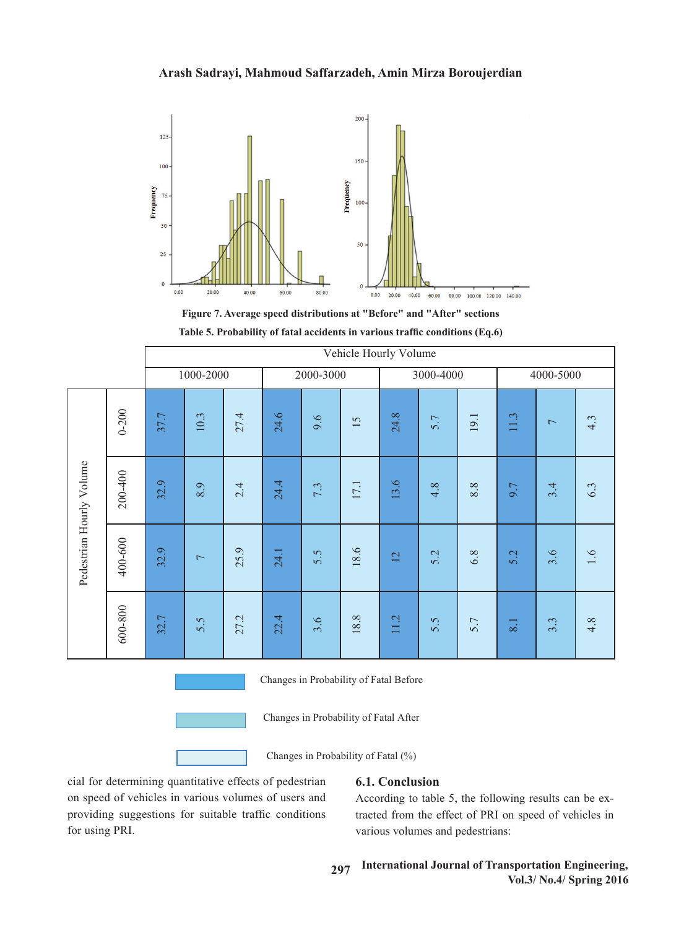# **Arash Sadrayi, Mahmoud Saffarzadeh, Amin Mirza Boroujerdian**



**Figure 7. Average speed distributions at "Before" and "After" sections**

| Table 5. Probability of fatal accidents in various traffic conditions $(Eq.6)$ |
|--------------------------------------------------------------------------------|
|--------------------------------------------------------------------------------|

|                          |                                       | Vehicle Hourly Volume |                          |      |                                        |           |      |                                     |           |         |           |                          |                  |
|--------------------------|---------------------------------------|-----------------------|--------------------------|------|----------------------------------------|-----------|------|-------------------------------------|-----------|---------|-----------|--------------------------|------------------|
|                          |                                       |                       | 1000-2000                |      |                                        | 2000-3000 |      |                                     | 3000-4000 |         | 4000-5000 |                          |                  |
|                          | $0 - 200$                             | 37.7                  | 10.3                     | 27.4 | 24.6                                   | 9.6       | 15   | 24.8<br>5.7                         |           | 19.1    | 11.3      | $\overline{\phantom{0}}$ | 4.3              |
|                          | 200-400                               | 32.9                  | 8.9                      | 2.4  | 24.4                                   | 7.3       | 17.1 | 13.6                                | 4.8       | $8.8\,$ | 9.7       | 3.4                      | 6.3              |
| Pedestrian Hourly Volume | 400-600                               | 32.9                  | $\overline{\phantom{0}}$ | 25.9 | 24.1                                   | 5.5       | 18.6 | 12                                  | 5.2       | $6.8\,$ | 5.2       | 3.6                      | $\overline{1.6}$ |
|                          | 600-800                               | 32.7                  | 5.5                      | 27.2 | 22.4                                   | 3.6       | 18.8 | 11.2                                | 5.5       | 5.7     | 8.1       | 3.3                      | 4.8              |
|                          |                                       |                       |                          |      | Changes in Probability of Fatal Before |           |      |                                     |           |         |           |                          |                  |
|                          | Changes in Probability of Fatal After |                       |                          |      |                                        |           |      |                                     |           |         |           |                          |                  |
|                          |                                       |                       |                          |      |                                        |           |      | Changes in Probability of Fatal (%) |           |         |           |                          |                  |



on speed of vehicles in various volumes of users and<br>providing suggestions for suitable traffic conditions on speed of vehicles in various volumes of users and<br>providing suggestions for suitable traffic conditions cial for determining quantitative effects of pedestrian for using PRI.

# **6.1. Conclusion**

According to table 5, the following results can be extracted from the effect of PRI on speed of vehicles in various volumes and pedestrians: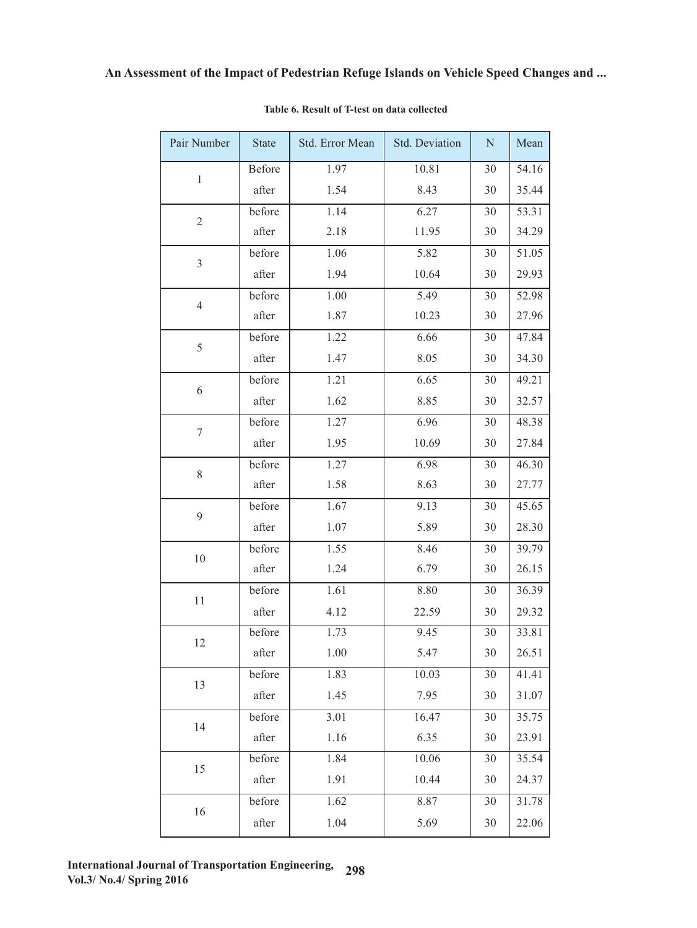| Pair Number    | <b>State</b> | Std. Error Mean | Std. Deviation | ${\bf N}$ | Mean  |
|----------------|--------------|-----------------|----------------|-----------|-------|
| $\mathbf{1}$   | Before       | 1.97            | 10.81          | 30        | 54.16 |
|                | after        | 1.54            | 8.43           | 30        | 35.44 |
| $\sqrt{2}$     | before       | 1.14            | 6.27           | 30        | 53.31 |
|                | after        | 2.18            | 11.95          | 30        | 34.29 |
| $\overline{3}$ | before       | 1.06            | 5.82           | 30        | 51.05 |
|                | after        | 1.94            | 10.64          | 30        | 29.93 |
| $\overline{4}$ | before       | 1.00            | 5.49           | 30        | 52.98 |
|                | after        | 1.87            | 10.23          | 30        | 27.96 |
| 5              | before       | 1.22            | 6.66           | 30        | 47.84 |
|                | after        | 1.47            | 8.05           | 30        | 34.30 |
| 6              | before       | 1.21            | 6.65           | 30        | 49.21 |
|                | after        | 1.62            | 8.85           | 30        | 32.57 |
| $\tau$         | before       | 1.27            | 6.96           | 30        | 48.38 |
|                | after        | 1.95            | 10.69          | 30        | 27.84 |
| 8              | before       | 1.27            | 6.98           | 30        | 46.30 |
|                | after        | 1.58            | 8.63           | 30        | 27.77 |
|                | before       | 1.67            | 9.13           | 30        | 45.65 |
| 9              | after        | 1.07            | 5.89           | 30        | 28.30 |
| $10\,$         | before       | 1.55            | 8.46           | 30        | 39.79 |
|                | after        | 1.24            | 6.79           | 30        | 26.15 |
| 11             | before       | 1.61            | 8.80           | 30        | 36.39 |
|                | after        | 4.12            | 22.59          | 30        | 29.32 |
| 12             | before       | 1.73            | 9.45           | 30        | 33.81 |
|                | after        | 1.00            | 5.47           | $30\,$    | 26.51 |
| 13             | before       | 1.83            | 10.03          | 30        | 41.41 |
|                | after        | 1.45            | 7.95           | 30        | 31.07 |
| 14             | before       | 3.01            | 16.47          | 30        | 35.75 |
|                | after        | 1.16            | 6.35           | 30        | 23.91 |
| 15             | before       | 1.84            | 10.06          | 30        | 35.54 |
|                | after        | 1.91            | 10.44          | 30        | 24.37 |
| 16             | before       | 1.62            | 8.87           | 30        | 31.78 |
|                | after        | 1.04            | 5.69           | 30        | 22.06 |

# Table 6. Result of T-test on data collected **Table 6. Result of T-test on data collected**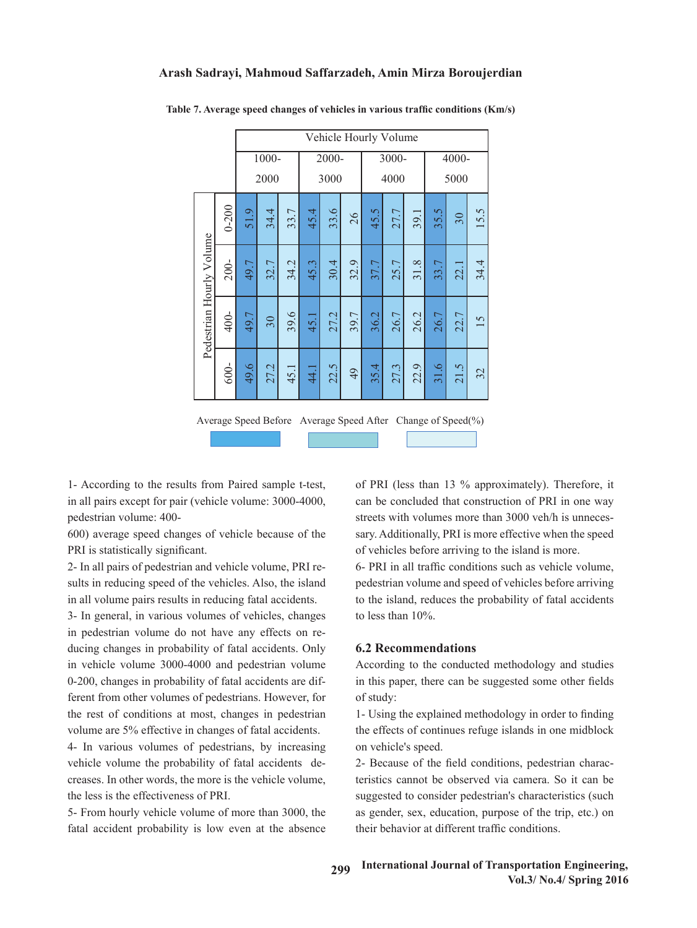### **Arash Sadrayi, Mahmoud Saffarzadeh, Amin Mirza Boroujerdian**

|                          |           |       | Vehicle Hourly Volume |      |       |      |       |      |      |                             |                                          |                                                             |      |
|--------------------------|-----------|-------|-----------------------|------|-------|------|-------|------|------|-----------------------------|------------------------------------------|-------------------------------------------------------------|------|
|                          |           | 1000- |                       |      | 2000- |      | 3000- |      |      | 4000-                       |                                          |                                                             |      |
|                          |           |       | 2000                  |      |       | 3000 |       |      | 4000 |                             |                                          | 5000                                                        |      |
|                          | $0 - 200$ | 51.9  | 34.4                  | 33.7 | 45.4  | 33.6 | 26    | 45.5 | 27.7 | 39.1                        | 35.5                                     | 30                                                          | 15.5 |
|                          | $200 -$   | 49.7  | 32.7                  | 34.2 | 45.3  | 30.4 | 32.9  | 37.7 | 25.7 | $\infty$<br>$\overline{31}$ | 33.7                                     | 22.1                                                        | 34.4 |
| Pedestrian Hourly Volume | 400-      | 49.7  | 30                    | 39.6 | 45.1  | 27.2 | 39.7  | 36.2 | 26.7 | 26.2                        | 26.7                                     | 22.7                                                        | 15   |
|                          | 600-      | 49.6  | 27.2                  | 45.1 | 44.1  | 22.5 | 49    | 35.4 | 27.3 | $\ddot{\Theta}$<br>22.      | $\tilde{\mathcal{S}}$<br>$\overline{31}$ | $\ddot{\Omega}$<br>$\overline{21}$                          | 32   |
|                          |           |       |                       |      |       |      |       |      |      |                             |                                          | Average Speed Before Average Speed After Change of Speed(%) |      |

**Table 7. Average speed changes of vehicles in various traffic conditions (Km/s)** Table 7. Average speed changes of vehicles in various traffic conditions (Km/s)

in all pairs except for pair (vehicle volume: 3000-4000, 1- According to the results from Paired sample t-test, pedestrian volume: 400-

600) average speed changes of vehicle because of the sary. Additionally, PRI is more effective when the speed PRI is statistically significant.

2- In all pairs of pedestrian and vehicle volume, PRI results in reducing speed of the vehicles. Also, the island pedestrian volume and speed of vehicles before arriving in all volume pairs results in reducing fatal accidents.

in pedestrian volume do not have any effects on reducing changes in probability of fatal accidents. Only **6.2 Recommendations** in vehicle volume 3000-4000 and pedestrian volume Accordents. ferent from other volumes of pedestrians. However, for of study: the rest of conditions at most, changes in pedestrian 1- Using the explained methodology in order to findin 3- In general, in various volumes of vehicles, changes 0-200, changes in probability of fatal accidents are difvolume are 5% effective in changes of fatal accidents.

vehicle volume the probability of fatal accidents de-<br>
2- Because of the field conditions, pedestrian characters in the probability of fatal accidents decreases. In other words, the more is the vehicle volume, the less is the effectiveness of PRI.

fatal accident probability is low even at the absence their behavior at different traffic conditions

of PRI (less than 13 % approximately). Therefore, it can be concluded that construction of PRI in one way streets with volumes more than 3000 veh/h is unnecessary. Additionally, PRI is more effective when the speed of vehicles before arriving to the island is more.

6- PRI in all traffic conditions such as vehicle volume, pedestrian volume and speed of vehicles before arriving to the island, reduces the probability of fatal accidents to less than 10%.

## **6.2 Recommendations**

According to the conducted methodology and studies in this paper, there can be suggested some other fields of study:

volume are 3% encerve in enanges of fatal accidents. The encers of commutes relate is shared in one interferent of pedestrians, by increasing on vehicle's speed. 1- Using the explained methodology in order to finding the effects of continues refuge islands in one midblock on vehicle's speed.

1- In various volumes of personal access the probability of the probability of the probability of the probability of  $\frac{1}{2}$ . 2- Because of the field conditions, pedestrian characteristics cannot be observed via camera. So it can be suggested to consider pedestrian's characteristics (such as gender, sex, education, purpose of the trip, etc.) on their behavior at different traffic conditions.